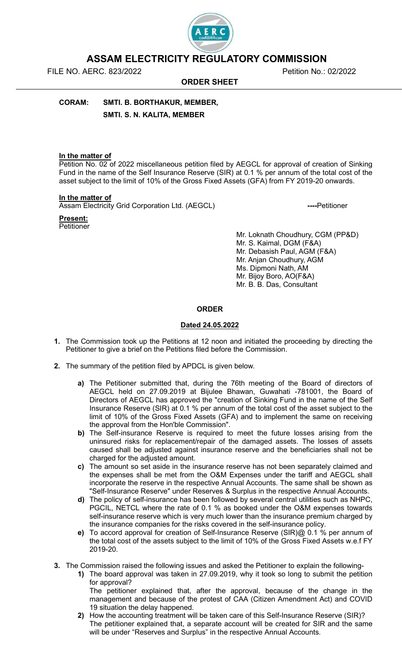

# ASSAM ELECTRICITY REGULATORY COMMISSION

FILE NO. AERC. 823/2022 Petition No.: 02/2022

ORDER SHEET

CORAM: SMTI. B. BORTHAKUR, MEMBER, SMTI. S. N. KALITA, MEMBER

## In the matter of

Petition No. 02 of 2022 miscellaneous petition filed by AEGCL for approval of creation of Sinking Fund in the name of the Self Insurance Reserve (SIR) at 0.1 % per annum of the total cost of the asset subject to the limit of 10% of the Gross Fixed Assets (GFA) from FY 2019-20 onwards.

#### In the matter of

Present: Petitioner

Assam Electricity Grid Corporation Ltd. (AEGCL) ----Petitioner

Mr. Loknath Choudhury, CGM (PP&D) Mr. S. Kaimal, DGM (F&A) Mr. Debasish Paul, AGM (F&A) Mr. Anjan Choudhury, AGM Ms. Dipmoni Nath, AM Mr. Bijoy Boro, AO(F&A) Mr. B. B. Das, Consultant

## ORDER

# Dated 24.05.2022

- 1. The Commission took up the Petitions at 12 noon and initiated the proceeding by directing the Petitioner to give a brief on the Petitions filed before the Commission.
- 2. The summary of the petition filed by APDCL is given below.
	- a) The Petitioner submitted that, during the 76th meeting of the Board of directors of AEGCL held on 27.09.2019 at Bijulee Bhawan, Guwahati -781001, the Board of Directors of AEGCL has approved the "creation of Sinking Fund in the name of the Self Insurance Reserve (SIR) at 0.1 % per annum of the total cost of the asset subject to the limit of 10% of the Gross Fixed Assets (GFA) and to implement the same on receiving the approval from the Hon'ble Commission".
	- b) The Self-insurance Reserve is required to meet the future losses arising from the uninsured risks for replacement/repair of the damaged assets. The losses of assets caused shall be adjusted against insurance reserve and the beneficiaries shall not be charged for the adjusted amount.
	- c) The amount so set aside in the insurance reserve has not been separately claimed and the expenses shall be met from the O&M Expenses under the tariff and AEGCL shall incorporate the reserve in the respective Annual Accounts. The same shall be shown as "Self-Insurance Reserve" under Reserves & Surplus in the respective Annual Accounts.
	- d) The policy of self-insurance has been followed by several central utilities such as NHPC, PGCIL, NETCL where the rate of 0.1 % as booked under the O&M expenses towards self-insurance reserve which is very much lower than the insurance premium charged by the insurance companies for the risks covered in the self-insurance policy.
	- e) To accord approval for creation of Self-Insurance Reserve (SIR)@ 0.1 % per annum of the total cost of the assets subject to the limit of 10% of the Gross Fixed Assets w.e.f FY 2019-20.
- 3. The Commission raised the following issues and asked the Petitioner to explain the following-
	- 1) The board approval was taken in 27.09.2019, why it took so long to submit the petition for approval?

The petitioner explained that, after the approval, because of the change in the management and because of the protest of CAA (Citizen Amendment Act) and COVID 19 situation the delay happened.

2) How the accounting treatment will be taken care of this Self-Insurance Reserve (SIR)? The petitioner explained that, a separate account will be created for SIR and the same will be under "Reserves and Surplus" in the respective Annual Accounts.